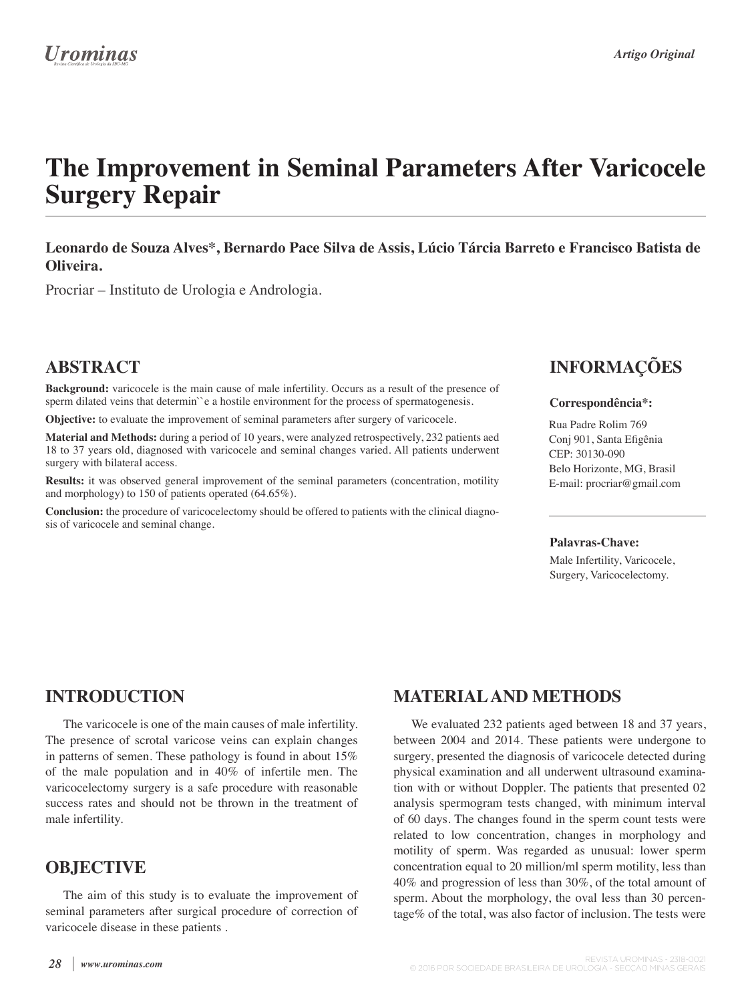# **The Improvement in Seminal Parameters After Varicocele Surgery Repair**

### **Leonardo de Souza Alves\*, Bernardo Pace Silva de Assis, Lúcio Tárcia Barreto e Francisco Batista de Oliveira.**

Procriar – Instituto de Urologia e Andrologia.

### **ABSTRACT**

**Background:** varicocele is the main cause of male infertility. Occurs as a result of the presence of sperm dilated veins that determin''e a hostile environment for the process of spermatogenesis.

**Objective:** to evaluate the improvement of seminal parameters after surgery of varicocele.

**Material and Methods:** during a period of 10 years, were analyzed retrospectively, 232 patients aed 18 to 37 years old, diagnosed with varicocele and seminal changes varied. All patients underwent surgery with bilateral access.

**Results:** it was observed general improvement of the seminal parameters (concentration, motility and morphology) to 150 of patients operated (64.65%).

**Conclusion:** the procedure of varicocelectomy should be offered to patients with the clinical diagnosis of varicocele and seminal change.

## **INFORMAÇÕES**

#### **Correspondência\*:**

Rua Padre Rolim 769 Conj 901, Santa Efigênia CEP: 30130-090 Belo Horizonte, MG, Brasil E-mail: procriar@gmail.com

#### **Palavras-Chave:**

Male Infertility, Varicocele, Surgery, Varicocelectomy.

### **INTRODUCTION**

The varicocele is one of the main causes of male infertility. The presence of scrotal varicose veins can explain changes in patterns of semen. These pathology is found in about 15% of the male population and in 40% of infertile men. The varicocelectomy surgery is a safe procedure with reasonable success rates and should not be thrown in the treatment of male infertility.

### **OBJECTIVE**

The aim of this study is to evaluate the improvement of seminal parameters after surgical procedure of correction of varicocele disease in these patients .

## **MATERIAL AND METHODS**

We evaluated 232 patients aged between 18 and 37 years, between 2004 and 2014. These patients were undergone to surgery, presented the diagnosis of varicocele detected during physical examination and all underwent ultrasound examination with or without Doppler. The patients that presented 02 analysis spermogram tests changed, with minimum interval of 60 days. The changes found in the sperm count tests were related to low concentration, changes in morphology and motility of sperm. Was regarded as unusual: lower sperm concentration equal to 20 million/ml sperm motility, less than 40% and progression of less than 30%, of the total amount of sperm. About the morphology, the oval less than 30 percentage% of the total, was also factor of inclusion. The tests were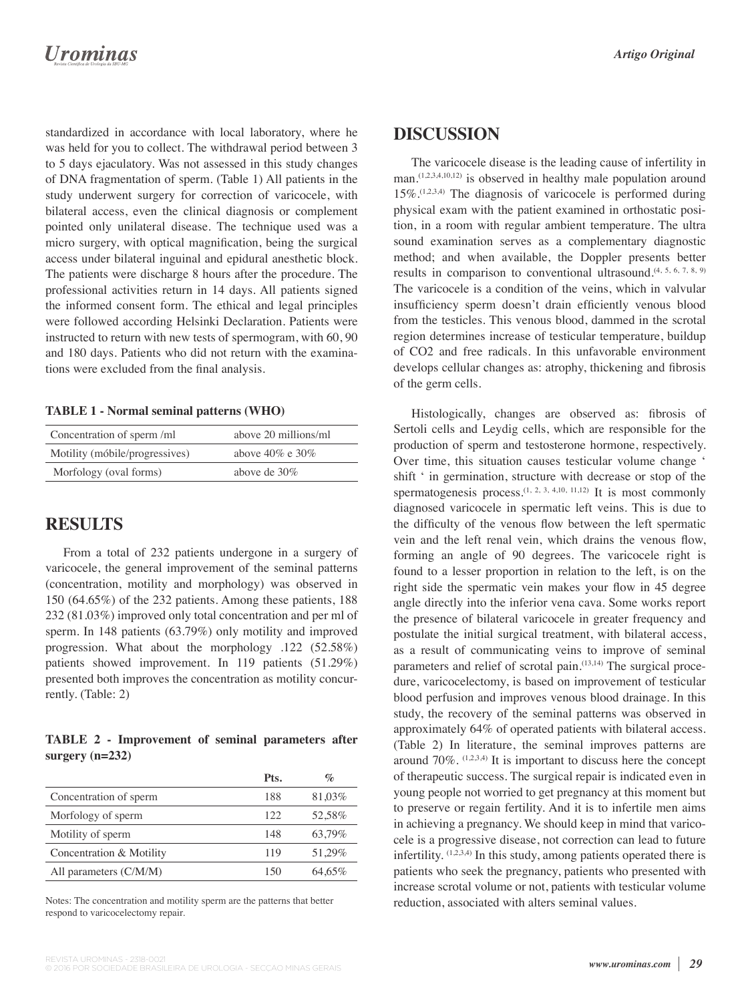## **Urominas**

standardized in accordance with local laboratory, where he was held for you to collect. The withdrawal period between 3 to 5 days ejaculatory. Was not assessed in this study changes of DNA fragmentation of sperm. (Table 1) All patients in the study underwent surgery for correction of varicocele, with bilateral access, even the clinical diagnosis or complement pointed only unilateral disease. The technique used was a micro surgery, with optical magnification, being the surgical access under bilateral inguinal and epidural anesthetic block. The patients were discharge 8 hours after the procedure. The professional activities return in 14 days. All patients signed the informed consent form. The ethical and legal principles were followed according Helsinki Declaration. Patients were instructed to return with new tests of spermogram, with 60, 90 and 180 days. Patients who did not return with the examinations were excluded from the final analysis.

#### **TABLE 1 - Normal seminal patterns (WHO)**

| Concentration of sperm/ml      | above 20 millions/ml  |
|--------------------------------|-----------------------|
| Motility (móbile/progressives) | above $40\%$ e $30\%$ |
| Morfology (oval forms)         | above de $30\%$       |

### **RESULTS**

From a total of 232 patients undergone in a surgery of varicocele, the general improvement of the seminal patterns (concentration, motility and morphology) was observed in 150 (64.65%) of the 232 patients. Among these patients, 188 232 (81.03%) improved only total concentration and per ml of sperm. In 148 patients (63.79%) only motility and improved progression. What about the morphology .122 (52.58%) patients showed improvement. In 119 patients (51.29%) presented both improves the concentration as motility concurrently. (Table: 2)

### **TABLE 2 - Improvement of seminal parameters after surgery (n=232)**

|                          | Pts. | $\mathcal{O}_{\mathcal{O}}$ |
|--------------------------|------|-----------------------------|
| Concentration of sperm   | 188  | 81,03%                      |
| Morfology of sperm       | 122  | 52.58%                      |
| Motility of sperm        | 148  | 63.79%                      |
| Concentration & Motility | 119  | 51,29%                      |
| All parameters $(C/M/M)$ | 150  | 64.65%                      |

Notes: The concentration and motility sperm are the patterns that better respond to varicocelectomy repair.

### **DISCUSSION**

The varicocele disease is the leading cause of infertility in man.<sup>(1,2,3,4,10,12)</sup> is observed in healthy male population around  $15\%$ .<sup> $(1,2,3,4)$ </sup> The diagnosis of varicocele is performed during physical exam with the patient examined in orthostatic position, in a room with regular ambient temperature. The ultra sound examination serves as a complementary diagnostic method; and when available, the Doppler presents better results in comparison to conventional ultrasound.<sup>(4, 5, 6, 7, 8, 9)</sup> The varicocele is a condition of the veins, which in valvular insufficiency sperm doesn't drain efficiently venous blood from the testicles. This venous blood, dammed in the scrotal region determines increase of testicular temperature, buildup of CO2 and free radicals. In this unfavorable environment develops cellular changes as: atrophy, thickening and fibrosis of the germ cells.

Histologically, changes are observed as: fibrosis of Sertoli cells and Leydig cells, which are responsible for the production of sperm and testosterone hormone, respectively. Over time, this situation causes testicular volume change ' shift ' in germination, structure with decrease or stop of the spermatogenesis process.<sup>(1, 2, 3, 4,10, 11,12)</sup> It is most commonly diagnosed varicocele in spermatic left veins. This is due to the difficulty of the venous flow between the left spermatic vein and the left renal vein, which drains the venous flow, forming an angle of 90 degrees. The varicocele right is found to a lesser proportion in relation to the left, is on the right side the spermatic vein makes your flow in 45 degree angle directly into the inferior vena cava. Some works report the presence of bilateral varicocele in greater frequency and postulate the initial surgical treatment, with bilateral access, as a result of communicating veins to improve of seminal parameters and relief of scrotal pain.<sup>(13,14)</sup> The surgical procedure, varicocelectomy, is based on improvement of testicular blood perfusion and improves venous blood drainage. In this study, the recovery of the seminal patterns was observed in approximately 64% of operated patients with bilateral access. (Table 2) In literature, the seminal improves patterns are around  $70\%$ . (1,2,3,4) It is important to discuss here the concept of therapeutic success. The surgical repair is indicated even in young people not worried to get pregnancy at this moment but to preserve or regain fertility. And it is to infertile men aims in achieving a pregnancy. We should keep in mind that varicocele is a progressive disease, not correction can lead to future infertility.  $(1,2,3,4)$  In this study, among patients operated there is patients who seek the pregnancy, patients who presented with increase scrotal volume or not, patients with testicular volume reduction, associated with alters seminal values.